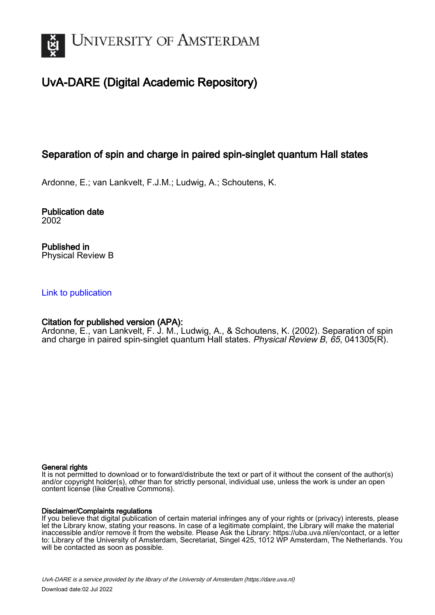

# UvA-DARE (Digital Academic Repository)

# Separation of spin and charge in paired spin-singlet quantum Hall states

Ardonne, E.; van Lankvelt, F.J.M.; Ludwig, A.; Schoutens, K.

Publication date 2002

Published in Physical Review B

## [Link to publication](https://dare.uva.nl/personal/pure/en/publications/separation-of-spin-and-charge-in-paired-spinsinglet-quantum-hall-states(30e3deea-3468-440f-aafb-202d3b9f993d).html)

## Citation for published version (APA):

Ardonne, E., van Lankvelt, F. J. M., Ludwig, A., & Schoutens, K. (2002). Separation of spin and charge in paired spin-singlet quantum Hall states. Physical Review B, 65, 041305(R).

### General rights

It is not permitted to download or to forward/distribute the text or part of it without the consent of the author(s) and/or copyright holder(s), other than for strictly personal, individual use, unless the work is under an open content license (like Creative Commons).

### Disclaimer/Complaints regulations

If you believe that digital publication of certain material infringes any of your rights or (privacy) interests, please let the Library know, stating your reasons. In case of a legitimate complaint, the Library will make the material inaccessible and/or remove it from the website. Please Ask the Library: https://uba.uva.nl/en/contact, or a letter to: Library of the University of Amsterdam, Secretariat, Singel 425, 1012 WP Amsterdam, The Netherlands. You will be contacted as soon as possible.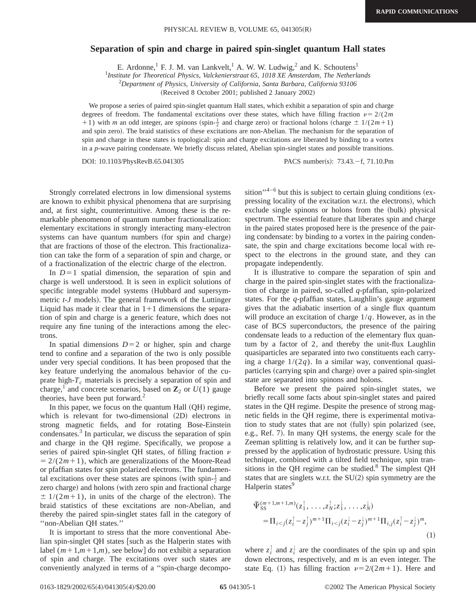#### **Separation of spin and charge in paired spin-singlet quantum Hall states**

E. Ardonne,<sup>1</sup> F. J. M. van Lankvelt,<sup>1</sup> A. W. W. Ludwig,<sup>2</sup> and K. Schoutens<sup>1</sup>

<sup>1</sup>Institute for Theoretical Physics, Valckenierstraat 65, 1018 XE Amsterdam, The Netherlands

2 *Department of Physics, University of California, Santa Barbara, California 93106*

(Received 8 October 2001; published 2 January 2002)

We propose a series of paired spin-singlet quantum Hall states, which exhibit a separation of spin and charge degrees of freedom. The fundamental excitations over these states, which have filling fraction  $\nu = 2/(2m)$  $+1$ ) with *m* an odd integer, are spinons (spin- $\frac{1}{2}$  and charge zero) or fractional holons (charge  $\pm 1/(2m+1)$ ) and spin zero). The braid statistics of these excitations are non-Abelian. The mechanism for the separation of spin and charge in these states is topological: spin and charge excitations are liberated by binding to a vortex in a *p*-wave pairing condensate. We briefly discuss related, Abelian spin-singlet states and possible transitions.

DOI: 10.1103/PhysRevB.65.041305 PACS number(s): 73.43.-f, 71.10.Pm

Strongly correlated electrons in low dimensional systems are known to exhibit physical phenomena that are surprising and, at first sight, counterintuitive. Among these is the remarkable phenomenon of quantum number fractionalization: elementary excitations in strongly interacting many-electron systems can have quantum numbers (for spin and charge) that are fractions of those of the electron. This fractionalization can take the form of a separation of spin and charge, or of a fractionalization of the electric charge of the electron.

In  $D=1$  spatial dimension, the separation of spin and charge is well understood. It is seen in explicit solutions of specific integrable model systems (Hubbard and supersymmetric *t*-*J* models). The general framework of the Luttinger Liquid has made it clear that in  $1+1$  dimensions the separation of spin and charge is a generic feature, which does not require any fine tuning of the interactions among the electrons.

In spatial dimensions  $D=2$  or higher, spin and charge tend to confine and a separation of the two is only possible under very special conditions. It has been proposed that the key feature underlying the anomalous behavior of the cuprate high- $T_c$  materials is precisely a separation of spin and charge,<sup>1</sup> and concrete scenarios, based on  $\mathbb{Z}_2$  or  $U(1)$  gauge theories, have been put forward. $<sup>2</sup>$ </sup>

In this paper, we focus on the quantum Hall  $(OH)$  regime, which is relevant for two-dimensional  $(2D)$  electrons in strong magnetic fields, and for rotating Bose-Einstein condensates.<sup>3</sup> In particular, we discuss the separation of spin and charge in the QH regime. Specifically, we propose a series of paired spin-singlet QH states, of filling fraction  $\nu$  $= 2/(2m+1)$ , which are generalizations of the Moore-Read or pfaffian states for spin polarized electrons. The fundamental excitations over these states are spinons (with spin- $\frac{1}{2}$  and zero charge) and holons (with zero spin and fractional charge  $\pm 1/(2m+1)$ , in units of the charge of the electron). The braid statistics of these excitations are non-Abelian, and thereby the paired spin-singlet states fall in the category of ''non-Abelian QH states.''

It is important to stress that the more conventional Abelian spin-singlet QH states [such as the Halperin states with label  $(m+1,m+1,m)$ , see below] do not exhibit a separation of spin and charge. The excitations over such states are conveniently analyzed in terms of a ''spin-charge decomposition'<sup>4–6</sup> but this is subject to certain gluing conditions (expressing locality of the excitation w.r.t. the electrons), which exclude single spinons or holons from the (bulk) physical spectrum. The essential feature that liberates spin and charge in the paired states proposed here is the presence of the pairing condensate: by binding to a vortex in the pairing condensate, the spin and charge excitations become local with respect to the electrons in the ground state, and they can propagate independently.

It is illustrative to compare the separation of spin and charge in the paired spin-singlet states with the fractionalization of charge in paired, so-called *q*-pfaffian, spin-polarized states. For the *q*-pfaffian states, Laughlin's gauge argument gives that the adiabatic insertion of a single flux quantum will produce an excitation of charge 1/*q*. However, as in the case of BCS superconductors, the presence of the pairing condensate leads to a reduction of the elementary flux quantum by a factor of 2, and thereby the unit-flux Laughlin quasiparticles are separated into two constituents each carrying a charge  $1/(2q)$ . In a similar way, conventional quasiparticles (carrying spin and charge) over a paired spin-singlet state are separated into spinons and holons.

Before we present the paired spin-singlet states, we briefly recall some facts about spin-singlet states and paired states in the QH regime. Despite the presence of strong magnetic fields in the QH regime, there is experimental motivation to study states that are not (fully) spin polarized (see, e.g., Ref. 7). In many QH systems, the energy scale for the Zeeman splitting is relatively low, and it can be further suppressed by the application of hydrostatic pressure. Using this technique, combined with a tilted field technique, spin transitions in the QH regime can be studied. $8$  The simplest QH states that are singlets w.r.t. the  $SU(2)$  spin symmetry are the Halperin states<sup>9</sup>

$$
\begin{split} \tilde{\Psi}_{\text{SS}}^{(m+1,m+1,m)}(z_1^{\uparrow}, \dots, z_N^{\uparrow}; z_1^{\downarrow}, \dots, z_N^{\downarrow}) \\ &= \Pi_{i < j} (z_i^{\uparrow} - z_j^{\uparrow})^{m+1} \Pi_{i < j} (z_i^{\downarrow} - z_j^{\downarrow})^{m+1} \Pi_{i,j} (z_i^{\uparrow} - z_j^{\downarrow})^m, \end{split} \tag{1}
$$

where  $z_i^{\dagger}$  and  $z_i^{\dagger}$  are the coordinates of the spin up and spin down electrons, respectively, and *m* is an even integer. The state Eq. (1) has filling fraction  $\nu=2/(2m+1)$ . Here and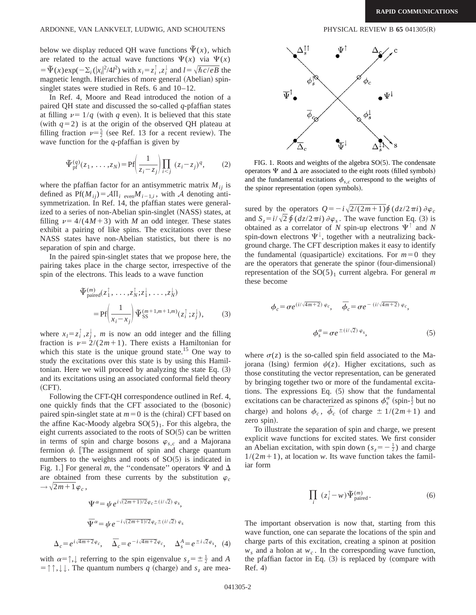#### ARDONNE, VAN LANKVELT, LUDWIG, AND SCHOUTENS PHYSICAL REVIEW B 65 041305(R)

below we display reduced QH wave functions  $\tilde{\Psi}(x)$ , which are related to the actual wave functions  $\Psi(x)$  via  $\Psi(x)$  $= \Psi(x) \exp(-\sum_i (|x_i|^2/4l^2))$  with  $x_i = z_i^{\uparrow}$ ,  $z_i^{\downarrow}$  and  $l = \sqrt{\hbar c/eB}$  the magnetic length. Hierarchies of more general (Abelian) spinsinglet states were studied in Refs. 6 and 10–12.

In Ref. 4, Moore and Read introduced the notion of a paired QH state and discussed the so-called *q*-pfaffian states at filling  $\nu = 1/q$  (with *q* even). It is believed that this state (with  $q=2$ ) is at the origin of the observed QH plateau at filling fraction  $\nu = \frac{5}{2}$  (see Ref. 13 for a recent review). The wave function for the *q*-pfaffian is given by

$$
\Psi_{\text{pf}}^{(q)}(z_1,\ldots,z_N) = \text{Pf}\left(\frac{1}{z_i - z_j}\right) \prod_{i < j} (z_i - z_j)^q,\tag{2}
$$

where the pfaffian factor for an antisymmetric matrix  $M_{ij}$  is defined as  $Pf(M_{ij}) = A\Pi_{i\text{ even}}M_{i-1,i}$ , with A denoting antisymmetrization. In Ref. 14, the pfaffian states were generalized to a series of non-Abelian spin-singlet (NASS) states, at filling  $\nu = 4/(4M+3)$  with *M* an odd integer. These states exhibit a pairing of like spins. The excitations over these NASS states have non-Abelian statistics, but there is no separation of spin and charge.

In the paired spin-singlet states that we propose here, the pairing takes place in the charge sector, irrespective of the spin of the electrons. This leads to a wave function

$$
\begin{split} \tilde{\Psi}_{\text{paired}}^{(m)}(z_1^{\uparrow}, \dots, z_N^{\uparrow}; z_1^{\downarrow}, \dots, z_N^{\downarrow}) \\ = \text{Pf}\left(\frac{1}{x_i - x_j}\right) \tilde{\Psi}_{\text{SS}}^{(m+1, m+1, m)}(z_i^{\uparrow}; z_j^{\downarrow}), \end{split} \tag{3}
$$

where  $x_l = z_i^{\dagger}, z_j^{\dagger}$ , *m* is now an odd integer and the filling fraction is  $\nu = 2/(2m+1)$ . There exists a Hamiltonian for which this state is the unique ground state.<sup>15</sup> One way to study the excitations over this state is by using this Hamiltonian. Here we will proceed by analyzing the state Eq.  $(3)$ and its excitations using an associated conformal field theory  $(CFT).$ 

Following the CFT-QH correspondence outlined in Ref. 4, one quickly finds that the CFT associated to the (bosonic) paired spin-singlet state at  $m=0$  is the (chiral) CFT based on the affine Kac-Moody algebra  $SO(5)_1$ . For this algebra, the eight currents associated to the roots of  $SO(5)$  can be written in terms of spin and charge bosons  $\varphi$ <sub>s,*c*</sub> and a Majorana fermion  $\psi$ . The assignment of spin and charge quantum numbers to the weights and roots of  $SO(5)$  is indicated in Fig. 1.] For general *m*, the "condensate" operators  $\Psi$  and  $\Delta$ are obtained from these currents by the substitution  $\varphi_c$  $\rightarrow \sqrt{2m+1}\varphi_c$ ,

$$
\Psi^{\alpha} = \psi e^{i\sqrt{(2m+1)/2}\varphi_c \pm (i/\sqrt{2})\varphi_s},
$$
  

$$
\Psi^{\alpha} = \psi e^{-i\sqrt{(2m+1)/2}\varphi_c \pm (i/\sqrt{2})\varphi_s}
$$
  

$$
\Delta_c = e^{i\sqrt{4m+2}\varphi_c}, \quad \overline{\Delta}_c = e^{-i\sqrt{4m+2}\varphi_c}, \quad \Delta_s^A = e^{\pm i\sqrt{2}\varphi_s}, \quad (4)
$$

with  $\alpha = \uparrow, \downarrow$  referring to the spin eigenvalue  $s_z = \pm \frac{1}{2}$  and *A*  $= \uparrow \uparrow, \downarrow \downarrow$ . The quantum numbers *q* (charge) and *s<sub>z</sub>* are mea-



FIG. 1. Roots and weights of the algebra  $SO(5)$ . The condensate operators  $\Psi$  and  $\Delta$  are associated to the eight roots (filled symbols) and the fundamental excitations  $\phi_{s,c}$  correspond to the weights of the spinor representation (open symbols).

sured by the operators  $Q = -i\sqrt{2/(2m+1)}\oint (dz/2\pi i) \partial \varphi_c$ and  $S_z = i/\sqrt{2} \oint (dz/2\pi i) \partial \varphi_s$ . The wave function Eq. (3) is obtained as a correlator of *N* spin-up electrons  $\Psi$ <sup> $\uparrow$ </sup> and *N* spin-down electrons  $\Psi^{\downarrow}$ , together with a neutralizing background charge. The CFT description makes it easy to identify the fundamental (quasiparticle) excitations. For  $m=0$  they are the operators that generate the spinor (four-dimensional) representation of the  $SO(5)<sub>1</sub>$  current algebra. For general *m* these become

$$
\phi_c = \sigma e^{(i/\sqrt{4m+2})\varphi_c}, \quad \overline{\phi}_c = \sigma e^{-(i/\sqrt{4m+2})\varphi_c},
$$

$$
\phi_s^{\alpha} = \sigma e^{\pm (i/\sqrt{2})\varphi_s}, \quad (5)
$$

where  $\sigma(z)$  is the so-called spin field associated to the Majorana (Ising) fermion  $\psi(z)$ . Higher excitations, such as those constituting the vector representation, can be generated by bringing together two or more of the fundamental excitations. The expressions Eq.  $(5)$  show that the fundamental excitations can be characterized as spinons  $\phi_s^{\alpha}$  (spin- $\frac{1}{2}$  but no charge) and holons  $\phi_c$ ,  $\overline{\phi}_c$  (of charge  $\pm 1/(2m+1)$  and zero spin).

To illustrate the separation of spin and charge, we present explicit wave functions for excited states. We first consider an Abelian excitation, with spin down  $(s_z = -\frac{1}{2})$  and charge  $1/(2m+1)$ , at location *w*. Its wave function takes the familiar form

$$
\prod_{i} \left( z_i^{\uparrow} - w \right) \tilde{\Psi}_{\text{paired}}^{(m)}.
$$
 (6)

The important observation is now that, starting from this wave function, one can separate the locations of the spin and charge parts of this excitation, creating a spinon at position  $w_s$  and a holon at  $w_c$ . In the corresponding wave function, the pfaffian factor in Eq.  $(3)$  is replaced by (compare with  $Ref. 4)$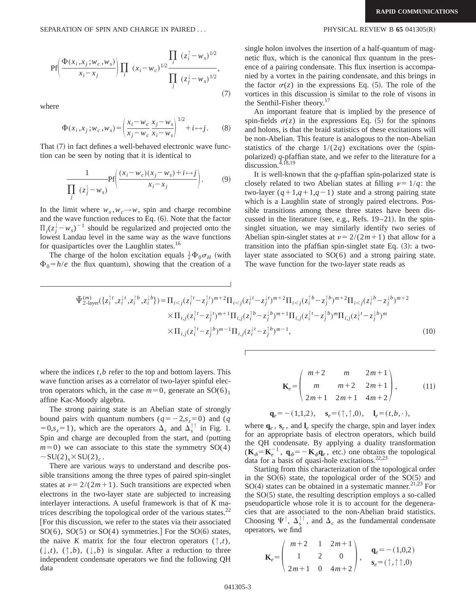$$
Pf\left(\frac{\Phi(x_i, x_j; w_c, w_s)}{x_i - x_j}\right) \prod_i (x_i - w_c)^{1/2} \frac{\prod_i (z_i^{\uparrow} - w_s)^{1/2}}{\prod_j (z_j^{\downarrow} - w_s)^{1/2}},
$$
\n(7)

where

$$
\Phi(x_i, x_j; w_c, w_s) = \left(\frac{x_i - w_c}{x_j - w_c} \frac{x_j - w_s}{x_i - w_s}\right)^{1/2} + i \leftrightarrow j. \tag{8}
$$

That  $(7)$  in fact defines a well-behaved electronic wave function can be seen by noting that it is identical to

$$
\frac{1}{\prod_{j} (z_j^{\downarrow} - w_s)} \text{Pf}\left(\frac{(x_i - w_c)(x_j - w_s) + i \leftrightarrow j}{x_i - x_j}\right). \tag{9}
$$

In the limit where  $w_s$ ,  $w_c \rightarrow w$ , spin and charge recombine and the wave function reduces to Eq.  $(6)$ . Note that the factor  $\Pi_j(z_j^{\downarrow} - w_s)^{-1}$  should be regularized and projected onto the lowest Landau level in the same way as the wave functions for quasiparticles over the Laughlin states.<sup>16</sup>

The charge of the holon excitation equals  $\frac{1}{2} \Phi_0 \sigma_H$  (with  $\Phi_0 = h/e$  the flux quantum), showing that the creation of a

single holon involves the insertion of a half-quantum of magnetic flux, which is the canonical flux quantum in the presence of a pairing condensate. This flux insertion is accompanied by a vortex in the pairing condensate, and this brings in the factor  $\sigma(z)$  in the expressions Eq. (5). The role of the vortices in this discussion is similar to the role of visons in the Senthil-Fisher theory.17

An important feature that is implied by the presence of spin-fields  $\sigma(z)$  in the expressions Eq. (5) for the spinons and holons, is that the braid statistics of these excitations will be non-Abelian. This feature is analogous to the non-Abelian statistics of the charge  $1/(2q)$  excitations over the (spinpolarized)  $q$ -pfaffian state, and we refer to the literature for a discussion. $4,18,19$ 

It is well-known that the *q*-pfaffian spin-polarized state is closely related to two Abelian states at filling  $\nu = 1/q$ : the two-layer  $(q+1,q+1,q-1)$  state and a strong pairing state which is a Laughlin state of strongly paired electrons. Possible transitions among these three states have been discussed in the literature (see, e.g., Refs.  $19-21$ ). In the spinsinglet situation, we may similarly identify two series of Abelian spin-singlet states at  $\nu = 2/(2m+1)$  that allow for a transition into the pfaffian spin-singlet state Eq.  $(3)$ : a twolayer state associated to SO(6) and a strong pairing state. The wave function for the two-layer state reads as

$$
\begin{split} \tilde{\Psi}_{2\text{-layer}}^{(m)}(\{z_i^{1t}, z_i^{1t}, z_i^{1b}, z_i^{1b}\}) &= \Pi_{i < j} (z_i^{1t} - z_j^{1t})^{m+2} \Pi_{i < j} (z_i^{1t} - z_j^{1t})^{m+2} \Pi_{i < j} (z_i^{1b} - z_j^{1b})^{m+2} \Pi_{i < j} (z_i^{1b} - z_j^{1b})^{m+2} \\ &\times \Pi_{i,j} (z_i^{1t} - z_j^{1t})^{m+1} \Pi_{i,j} (z_i^{1b} - z_j^{1b})^{m+1} \Pi_{i,j} (z_i^{1t} - z_j^{1b})^m \Pi_{i,j} (z_i^{1t} - z_j^{1b})^m \\ &\times \Pi_{i,j} (z_i^{1t} - z_j^{1b})^{m-1} \Pi_{i,j} (z_i^{1t} - z_j^{1b})^{m-1}, \end{split} \tag{10}
$$

where the indices *t*,*b* refer to the top and bottom layers. This wave function arises as a correlator of two-layer spinful electron operators which, in the case  $m=0$ , generate an SO(6)<sub>1</sub> affine Kac-Moody algebra.

The strong pairing state is an Abelian state of strongly bound pairs with quantum numbers  $(q=-2, s_z=0)$  and (*q*  $=0, s_z=1$ ), which are the operators  $\Delta_c$  and  $\Delta_s^{\dagger\dagger}$  in Fig. 1. Spin and charge are decoupled from the start, and (putting  $m=0$ ) we can associate to this state the symmetry SO(4)  $\sim$ SU(2)<sub>s</sub> $\times$ SU(2)<sub>c</sub>.

There are various ways to understand and describe possible transitions among the three types of paired spin-singlet states at  $\nu = 2/(2m+1)$ . Such transitions are expected when electrons in the two-layer state are subjected to increasing interlayer interactions. A useful framework is that of *K* matrices describing the topological order of the various states. $^{22}$ [For this discussion, we refer to the states via their associated  $SO(6)$ ,  $SO(5)$  or  $SO(4)$  symmetries.] For the  $SO(6)$  states, the naive *K* matrix for the four electron operators  $(\uparrow, t)$ ,  $(\downarrow, t)$ ,  $(\uparrow, b)$ ,  $(\downarrow, b)$  is singular. After a reduction to three independent condensate operators we find the following QH data

$$
\mathbf{K}_e = \begin{pmatrix} m+2 & m & 2m+1 \\ m & m+2 & 2m+1 \\ 2m+1 & 2m+1 & 4m+2 \end{pmatrix},
$$
 (11)

$$
\mathbf{q}_e = -(1,1,2), \quad \mathbf{s}_e = (\uparrow, \uparrow, 0), \quad \mathbf{l}_e = (t,b,\cdot),
$$

where  $\mathbf{q}_e$ ,  $\mathbf{s}_e$ , and  $\mathbf{l}_e$  specify the charge, spin and layer index for an appropriate basis of electron operators, which build the QH condensate. By applying a duality transformation  $(\mathbf{K}_{\phi} = \mathbf{K}_{e}^{-1}, \mathbf{q}_{\phi} = -\mathbf{K}_{\phi} \mathbf{q}_{e}$ , etc.) one obtains the topological data for a basis of quasi-hole excitations. $22,23$ 

Starting from this characterization of the topological order in the  $SO(6)$  state, the topological order of the  $SO(5)$  and  $SO(4)$  states can be obtained in a systematic manner.<sup>21,23</sup> For the  $SO(5)$  state, the resulting description employs a so-called pseudoparticle whose role it is to account for the degeneracies that are associated to the non-Abelian braid statistics. Choosing  $\Psi^{\dagger}$ ,  $\Delta_s^{\dagger \dagger}$ , and  $\Delta_c$  as the fundamental condensate operators, we find

$$
\mathbf{K}_e = \begin{pmatrix} m+2 & 1 & 2m+1 \\ 1 & 2 & 0 \\ 2m+1 & 0 & 4m+2 \end{pmatrix}, \quad \mathbf{q}_e = -(1,0,2)
$$